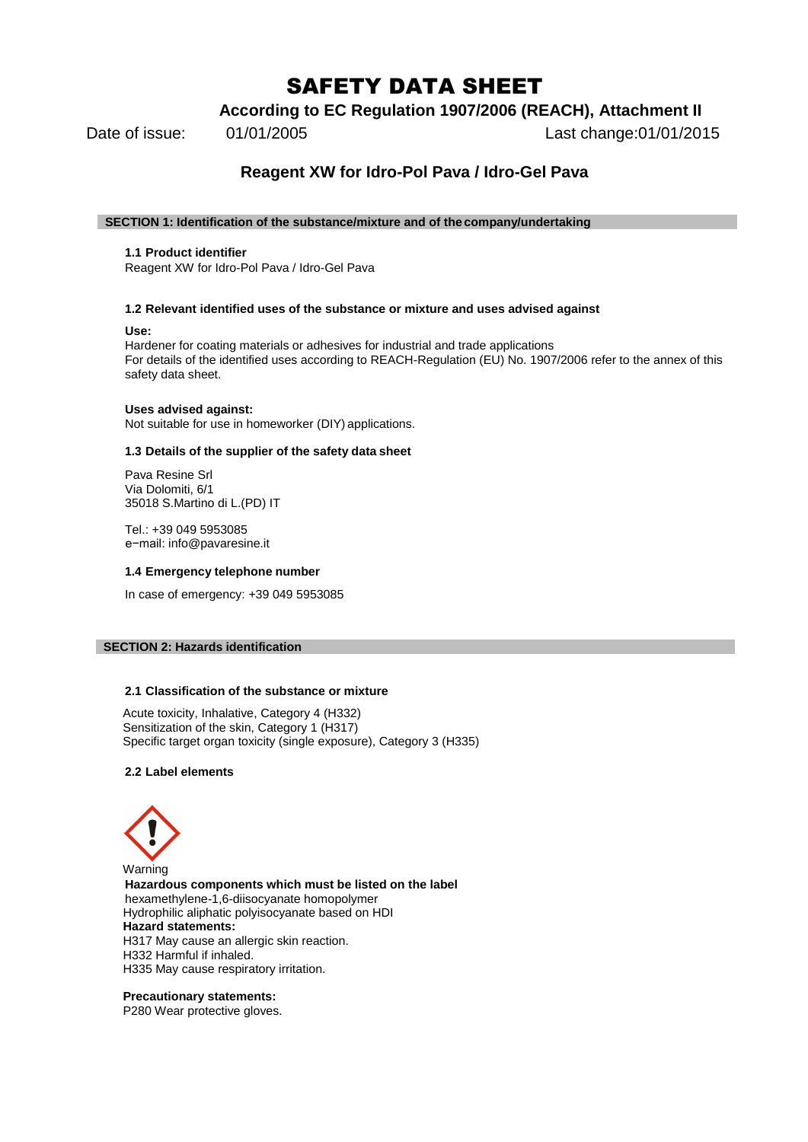# SAFETY DATA SHEET

**According to EC Regulation 1907/2006 (REACH), Attachment II**

Date of issue: 01/01/2005 Last change:01/01/2015

## **Reagent XW for Idro-Pol Pava / Idro-Gel Pava**

## **SECTION 1: Identification of the substance/mixture and of the company/undertaking**

## **1.1 Product identifier**

Reagent XW for Idro-Pol Pava / Idro-Gel Pava

## **1.2 Relevant identified uses of the substance or mixture and uses advised against**

## **Use:**

Hardener for coating materials or adhesives for industrial and trade applications For details of the identified uses according to REACH-Regulation (EU) No. 1907/2006 refer to the annex of this safety data sheet.

## **Uses advised against:**

Not suitable for use in homeworker (DIY) applications.

## **1.3 Details of the supplier of the safety data sheet**

Pava Resine Srl Via Dolomiti, 6/1 35018 S.Martino di L.(PD) IT

Tel.: +39 049 5953085 e−mail: [info@pavaresine.it](mailto:productsafety@covestro.com)

## **1.4 Emergency telephone number**

In case of emergency: +39 049 5953085

## **SECTION 2: Hazards identification**

## **2.1 Classification of the substance or mixture**

Acute toxicity, Inhalative, Category 4 (H332) Sensitization of the skin, Category 1 (H317) Specific target organ toxicity (single exposure), Category 3 (H335)

## **2.2 Label elements**



Warning **Hazardous components which must be listed on the label** hexamethylene-1,6-diisocyanate homopolymer Hydrophilic aliphatic polyisocyanate based on HDI **Hazard statements:** H317 May cause an allergic skin reaction. H332 Harmful if inhaled. H335 May cause respiratory irritation.

## **Precautionary statements:**

P280 Wear protective gloves.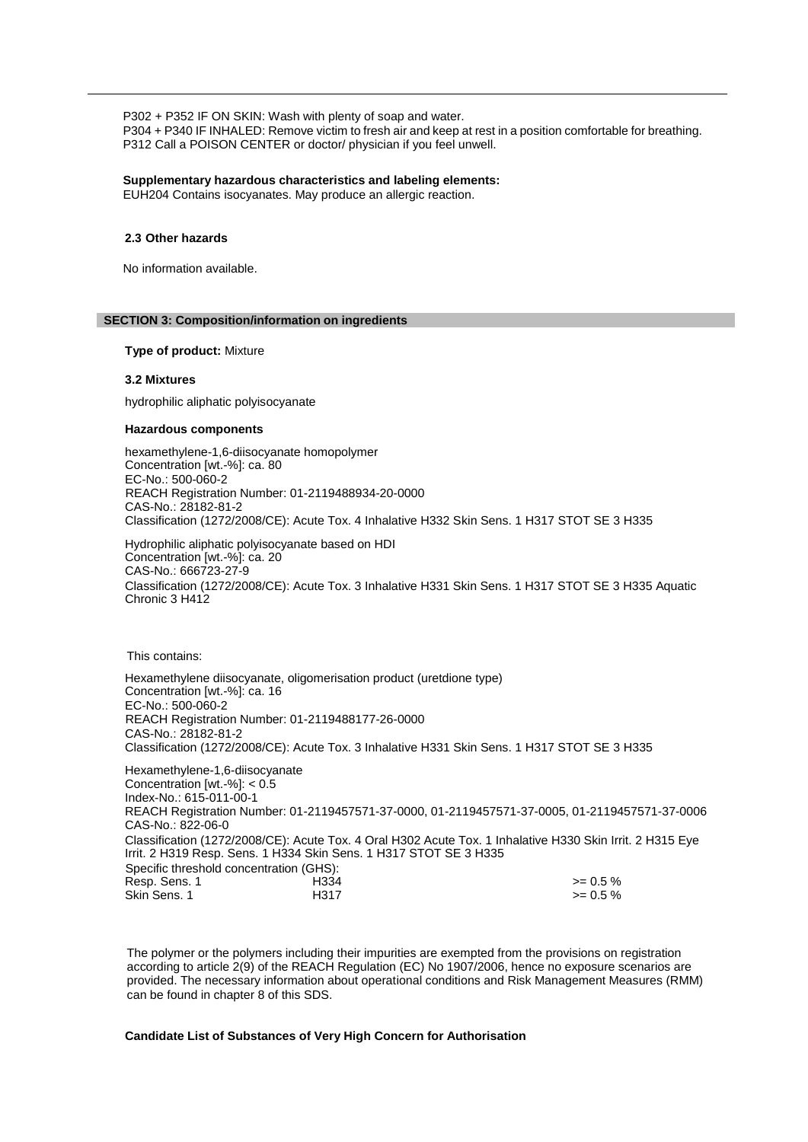P302 + P352 IF ON SKIN: Wash with plenty of soap and water. P304 + P340 IF INHALED: Remove victim to fresh air and keep at rest in a position comfortable for breathing. P312 Call a POISON CENTER or doctor/ physician if you feel unwell.

## **Supplementary hazardous characteristics and labeling elements:**

EUH204 Contains isocyanates. May produce an allergic reaction.

#### **2.3 Other hazards**

No information available.

#### **SECTION 3: Composition/information on ingredients**

**Type of product:** Mixture

#### **3.2 Mixtures**

hydrophilic aliphatic polyisocyanate

#### **Hazardous components**

hexamethylene-1,6-diisocyanate homopolymer Concentration [wt.-%]: ca. 80 EC-No.: 500-060-2 REACH Registration Number: 01-2119488934-20-0000 CAS-No.: 28182-81-2 Classification (1272/2008/CE): Acute Tox. 4 Inhalative H332 Skin Sens. 1 H317 STOT SE 3 H335

Hydrophilic aliphatic polyisocyanate based on HDI Concentration [wt.-%]: ca. 20 CAS-No.: 666723-27-9 Classification (1272/2008/CE): Acute Tox. 3 Inhalative H331 Skin Sens. 1 H317 STOT SE 3 H335 Aquatic Chronic 3 H412

This contains:

Hexamethylene diisocyanate, oligomerisation product (uretdione type) Concentration [wt.-%]: ca. 16 EC-No.: 500-060-2 REACH Registration Number: 01-2119488177-26-0000 CAS-No.: 28182-81-2 Classification (1272/2008/CE): Acute Tox. 3 Inhalative H331 Skin Sens. 1 H317 STOT SE 3 H335 Hexamethylene-1,6-diisocyanate Concentration [wt.-%]: < 0.5 Index-No.: 615-011-00-1 REACH Registration Number: 01-2119457571-37-0000, 01-2119457571-37-0005, 01-2119457571-37-0006 CAS-No.: 822-06-0 Classification (1272/2008/CE): Acute Tox. 4 Oral H302 Acute Tox. 1 Inhalative H330 Skin Irrit. 2 H315 Eye Irrit. 2 H319 Resp. Sens. 1 H334 Skin Sens. 1 H317 STOT SE 3 H335 Specific threshold concentration (GHS): Resp. Sens. 1 H334 >= 0.5 % Skin Sens. 1 **H317**  $\geq 0.5\%$ 

The polymer or the polymers including their impurities are exempted from the provisions on registration according to article 2(9) of the REACH Regulation (EC) No 1907/2006, hence no exposure scenarios are provided. The necessary information about operational conditions and Risk Management Measures (RMM) can be found in chapter 8 of this SDS.

## **Candidate List of Substances of Very High Concern for Authorisation**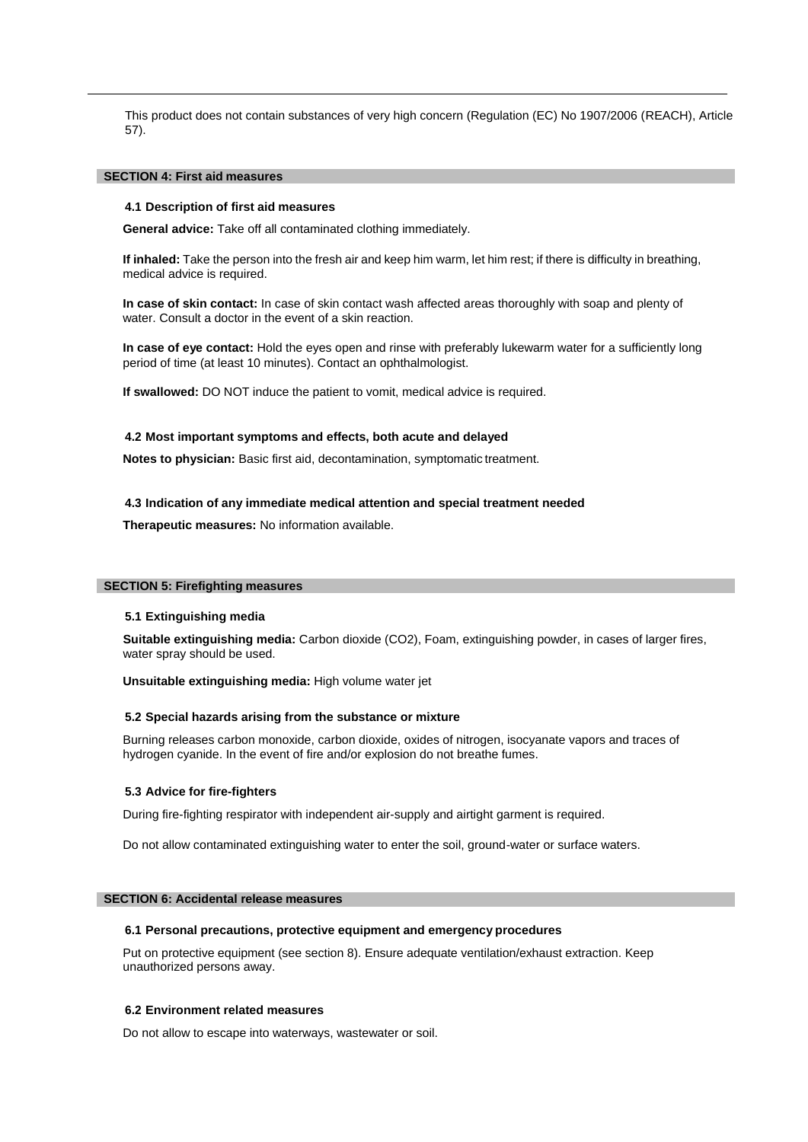This product does not contain substances of very high concern (Regulation (EC) No 1907/2006 (REACH), Article 57).

## **SECTION 4: First aid measures**

## **4.1 Description of first aid measures**

**General advice:** Take off all contaminated clothing immediately.

**If inhaled:** Take the person into the fresh air and keep him warm, let him rest; if there is difficulty in breathing, medical advice is required.

**In case of skin contact:** In case of skin contact wash affected areas thoroughly with soap and plenty of water. Consult a doctor in the event of a skin reaction.

**In case of eye contact:** Hold the eyes open and rinse with preferably lukewarm water for a sufficiently long period of time (at least 10 minutes). Contact an ophthalmologist.

**If swallowed:** DO NOT induce the patient to vomit, medical advice is required.

#### **4.2 Most important symptoms and effects, both acute and delayed**

**Notes to physician:** Basic first aid, decontamination, symptomatic treatment.

## **4.3 Indication of any immediate medical attention and special treatment needed**

**Therapeutic measures:** No information available.

#### **SECTION 5: Firefighting measures**

#### **5.1 Extinguishing media**

**Suitable extinguishing media:** Carbon dioxide (CO2), Foam, extinguishing powder, in cases of larger fires, water spray should be used.

**Unsuitable extinguishing media:** High volume water jet

#### **5.2 Special hazards arising from the substance or mixture**

Burning releases carbon monoxide, carbon dioxide, oxides of nitrogen, isocyanate vapors and traces of hydrogen cyanide. In the event of fire and/or explosion do not breathe fumes.

#### **5.3 Advice for fire-fighters**

During fire-fighting respirator with independent air-supply and airtight garment is required.

Do not allow contaminated extinguishing water to enter the soil, ground-water or surface waters.

#### **SECTION 6: Accidental release measures**

#### **6.1 Personal precautions, protective equipment and emergency procedures**

Put on protective equipment (see section 8). Ensure adequate ventilation/exhaust extraction. Keep unauthorized persons away.

## **6.2 Environment related measures**

Do not allow to escape into waterways, wastewater or soil.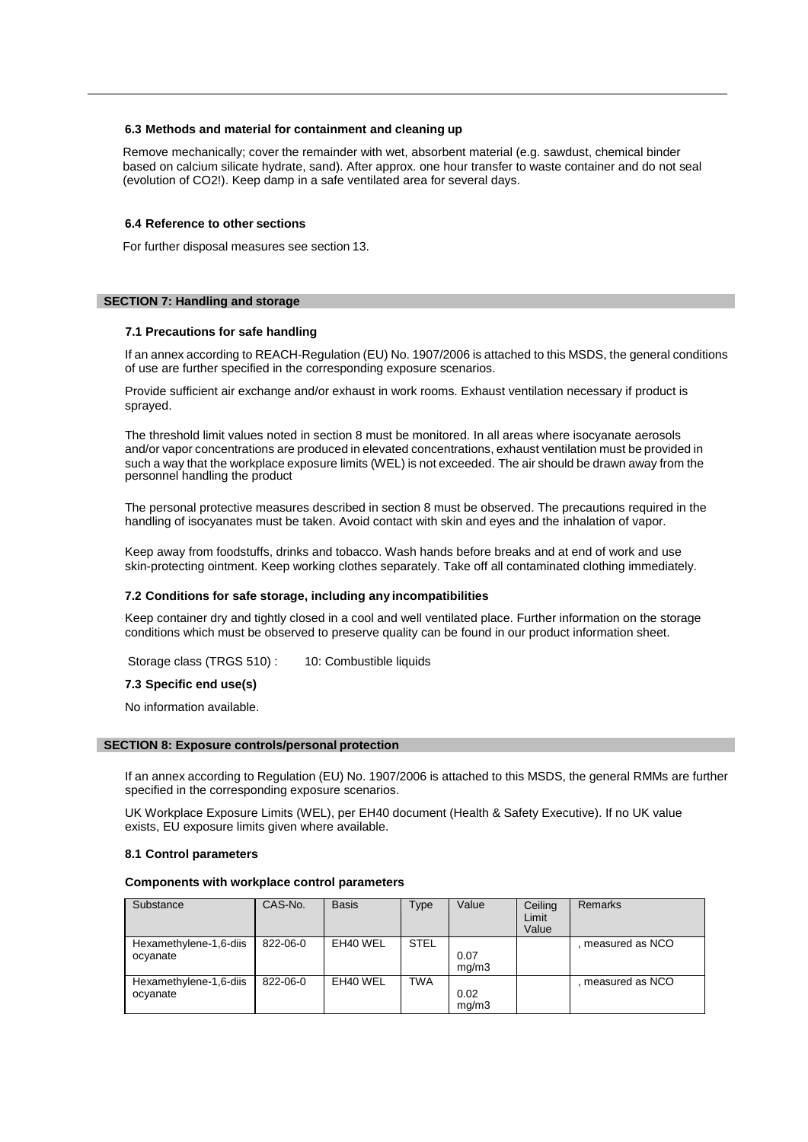#### **6.3 Methods and material for containment and cleaning up**

Remove mechanically; cover the remainder with wet, absorbent material (e.g. sawdust, chemical binder based on calcium silicate hydrate, sand). After approx. one hour transfer to waste container and do not seal (evolution of CO2!). Keep damp in a safe ventilated area for several days.

#### **6.4 Reference to other sections**

For further disposal measures see section 13.

## **SECTION 7: Handling and storage**

#### **7.1 Precautions for safe handling**

If an annex according to REACH-Regulation (EU) No. 1907/2006 is attached to this MSDS, the general conditions of use are further specified in the corresponding exposure scenarios.

Provide sufficient air exchange and/or exhaust in work rooms. Exhaust ventilation necessary if product is sprayed.

The threshold limit values noted in section 8 must be monitored. In all areas where isocyanate aerosols and/or vapor concentrations are produced in elevated concentrations, exhaust ventilation must be provided in such a way that the workplace exposure limits (WEL) is not exceeded. The air should be drawn away from the personnel handling the product

The personal protective measures described in section 8 must be observed. The precautions required in the handling of isocyanates must be taken. Avoid contact with skin and eyes and the inhalation of vapor.

Keep away from foodstuffs, drinks and tobacco. Wash hands before breaks and at end of work and use skin-protecting ointment. Keep working clothes separately. Take off all contaminated clothing immediately.

#### **7.2 Conditions for safe storage, including any incompatibilities**

Keep container dry and tightly closed in a cool and well ventilated place. Further information on the storage conditions which must be observed to preserve quality can be found in our product information sheet.

Storage class (TRGS 510) : 10: Combustible liquids

#### **7.3 Specific end use(s)**

No information available.

#### **SECTION 8: Exposure controls/personal protection**

If an annex according to Regulation (EU) No. 1907/2006 is attached to this MSDS, the general RMMs are further specified in the corresponding exposure scenarios.

UK Workplace Exposure Limits (WEL), per EH40 document (Health & Safety Executive). If no UK value exists, EU exposure limits given where available.

#### **8.1 Control parameters**

#### **Components with workplace control parameters**

| Substance                          | CAS-No.  | <b>Basis</b> | Type        | Value         | Ceiling<br>Limit<br>Value | <b>Remarks</b>    |
|------------------------------------|----------|--------------|-------------|---------------|---------------------------|-------------------|
| Hexamethylene-1,6-diis<br>ocyanate | 822-06-0 | EH40 WEL     | <b>STEL</b> | 0.07<br>mq/m3 |                           | . measured as NCO |
| Hexamethylene-1,6-diis<br>ocyanate | 822-06-0 | EH40 WEL     | <b>TWA</b>  | 0.02<br>mq/m3 |                           | . measured as NCO |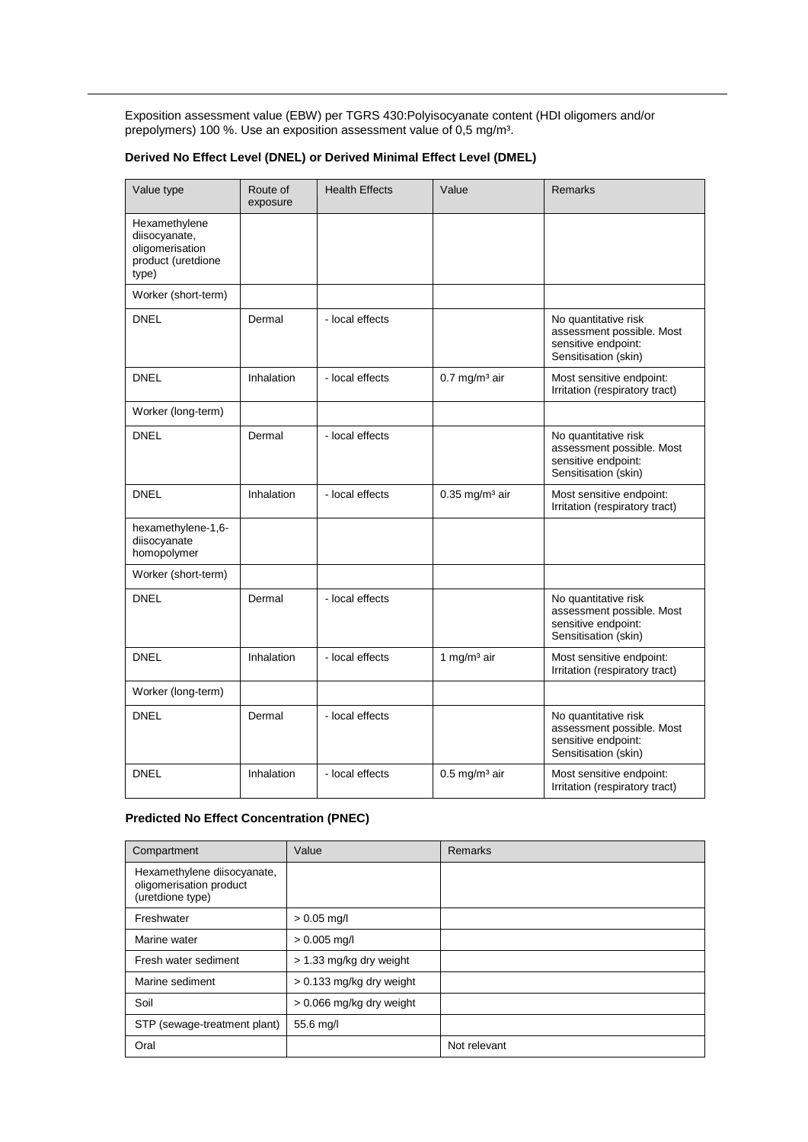Exposition assessment value (EBW) per TGRS 430:Polyisocyanate content (HDI oligomers and/or prepolymers) 100 %. Use an exposition assessment value of 0,5 mg/m<sup>3</sup>.

## **Derived No Effect Level (DNEL) or Derived Minimal Effect Level (DMEL)**

| Value type                                                                       | Route of<br>exposure | <b>Health Effects</b> | Value                        | Remarks                                                                                          |
|----------------------------------------------------------------------------------|----------------------|-----------------------|------------------------------|--------------------------------------------------------------------------------------------------|
| Hexamethylene<br>diisocyanate,<br>oligomerisation<br>product (uretdione<br>type) |                      |                       |                              |                                                                                                  |
| Worker (short-term)                                                              |                      |                       |                              |                                                                                                  |
| <b>DNEL</b>                                                                      | Dermal               | - local effects       |                              | No quantitative risk<br>assessment possible. Most<br>sensitive endpoint:<br>Sensitisation (skin) |
| <b>DNEL</b>                                                                      | Inhalation           | - local effects       | $0.7$ mg/m <sup>3</sup> air  | Most sensitive endpoint:<br>Irritation (respiratory tract)                                       |
| Worker (long-term)                                                               |                      |                       |                              |                                                                                                  |
| <b>DNEL</b>                                                                      | Dermal               | - local effects       |                              | No quantitative risk<br>assessment possible. Most<br>sensitive endpoint:<br>Sensitisation (skin) |
| <b>DNEL</b>                                                                      | Inhalation           | - local effects       | $0.35$ mg/m <sup>3</sup> air | Most sensitive endpoint:<br>Irritation (respiratory tract)                                       |
| hexamethylene-1,6-<br>diisocyanate<br>homopolymer                                |                      |                       |                              |                                                                                                  |
| Worker (short-term)                                                              |                      |                       |                              |                                                                                                  |
| <b>DNEL</b>                                                                      | Dermal               | - local effects       |                              | No quantitative risk<br>assessment possible. Most<br>sensitive endpoint:<br>Sensitisation (skin) |
| <b>DNEL</b>                                                                      | Inhalation           | - local effects       | 1 mg/m <sup>3</sup> air      | Most sensitive endpoint:<br>Irritation (respiratory tract)                                       |
| Worker (long-term)                                                               |                      |                       |                              |                                                                                                  |
| <b>DNEL</b>                                                                      | Dermal               | - local effects       |                              | No quantitative risk<br>assessment possible. Most<br>sensitive endpoint:<br>Sensitisation (skin) |
| <b>DNEL</b>                                                                      | Inhalation           | - local effects       | $0.5$ mg/m <sup>3</sup> air  | Most sensitive endpoint:<br>Irritation (respiratory tract)                                       |

## **Predicted No Effect Concentration (PNEC)**

| Compartment                                                                | Value                      | Remarks      |
|----------------------------------------------------------------------------|----------------------------|--------------|
| Hexamethylene diisocyanate,<br>oligomerisation product<br>(uretdione type) |                            |              |
| Freshwater                                                                 | $> 0.05$ mg/l              |              |
| Marine water                                                               | $> 0.005$ mg/l             |              |
| Fresh water sediment                                                       | > 1.33 mg/kg dry weight    |              |
| Marine sediment                                                            | $> 0.133$ mg/kg dry weight |              |
| Soil                                                                       | > 0.066 mg/kg dry weight   |              |
| STP (sewage-treatment plant)                                               | 55.6 mg/l                  |              |
| Oral                                                                       |                            | Not relevant |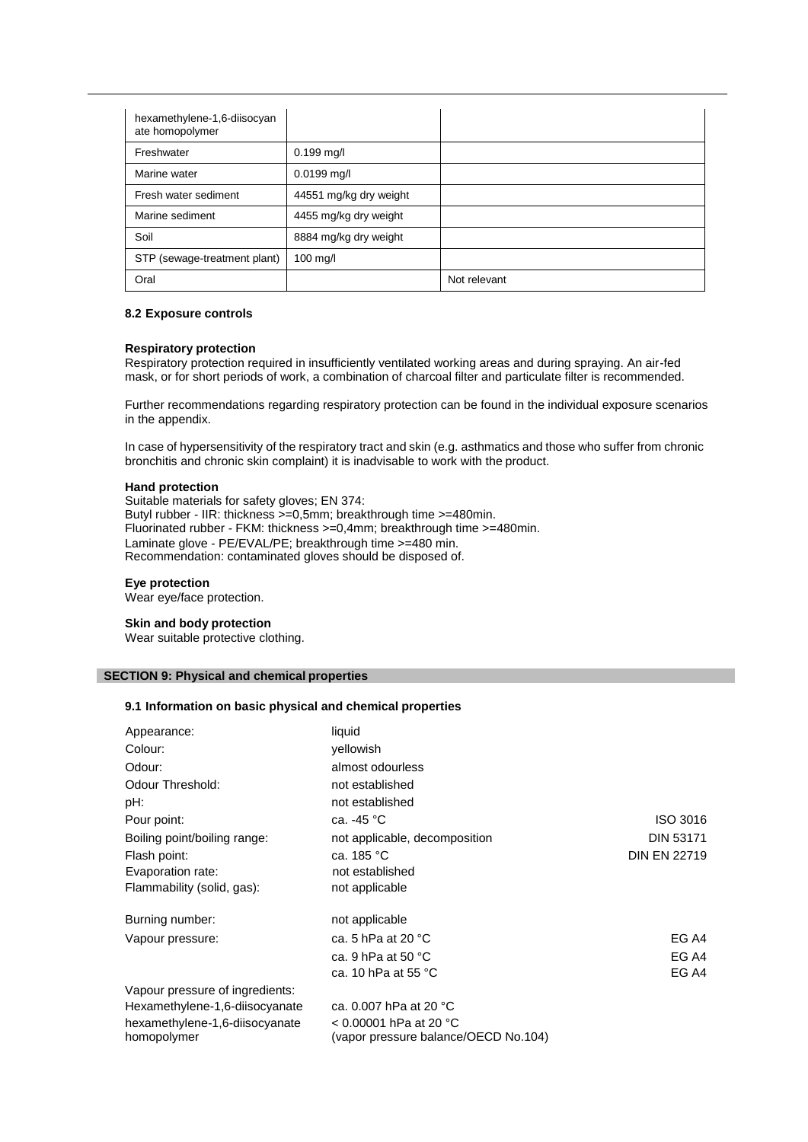| hexamethylene-1,6-diisocyan<br>ate homopolymer |                        |              |
|------------------------------------------------|------------------------|--------------|
| Freshwater                                     | $0.199$ mg/l           |              |
| Marine water                                   | $0.0199$ mg/l          |              |
| Fresh water sediment                           | 44551 mg/kg dry weight |              |
| Marine sediment                                | 4455 mg/kg dry weight  |              |
| Soil                                           | 8884 mg/kg dry weight  |              |
| STP (sewage-treatment plant)                   | $100$ mg/l             |              |
| Oral                                           |                        | Not relevant |

## **8.2 Exposure controls**

#### **Respiratory protection**

Respiratory protection required in insufficiently ventilated working areas and during spraying. An air-fed mask, or for short periods of work, a combination of charcoal filter and particulate filter is recommended.

Further recommendations regarding respiratory protection can be found in the individual exposure scenarios in the appendix.

In case of hypersensitivity of the respiratory tract and skin (e.g. asthmatics and those who suffer from chronic bronchitis and chronic skin complaint) it is inadvisable to work with the product.

#### **Hand protection**

Suitable materials for safety gloves; EN 374: Butyl rubber - IIR: thickness >=0,5mm; breakthrough time >=480min. Fluorinated rubber - FKM: thickness >=0,4mm; breakthrough time >=480min. Laminate glove - PE/EVAL/PE; breakthrough time >=480 min. Recommendation: contaminated gloves should be disposed of.

#### **Eye protection**

Wear eye/face protection.

### **Skin and body protection**

Wear suitable protective clothing.

## **SECTION 9: Physical and chemical properties**

## **9.1 Information on basic physical and chemical properties**

| Appearance:                     | liquid                               |                     |
|---------------------------------|--------------------------------------|---------------------|
| Colour:                         | vellowish                            |                     |
| Odour:                          | almost odourless                     |                     |
| Odour Threshold:                | not established                      |                     |
| pH:                             | not established                      |                     |
| Pour point:                     | ca. -45 °C                           | ISO 3016            |
| Boiling point/boiling range:    | not applicable, decomposition        | <b>DIN 53171</b>    |
| Flash point:                    | ca. 185 °C                           | <b>DIN EN 22719</b> |
| Evaporation rate:               | not established                      |                     |
| Flammability (solid, gas):      | not applicable                       |                     |
| Burning number:                 | not applicable                       |                     |
| Vapour pressure:                | ca. 5 hPa at 20 $^{\circ}$ C         | EG A4               |
|                                 | ca. 9 hPa at 50 $^{\circ}$ C         | EG A4               |
|                                 | ca. 10 hPa at 55 $^{\circ}$ C        | EG A4               |
| Vapour pressure of ingredients: |                                      |                     |
| Hexamethylene-1,6-diisocyanate  | ca. 0.007 hPa at 20 °C               |                     |
| hexamethylene-1,6-diisocyanate  | < 0.00001 hPa at 20 °C               |                     |
| homopolymer                     | (vapor pressure balance/OECD No.104) |                     |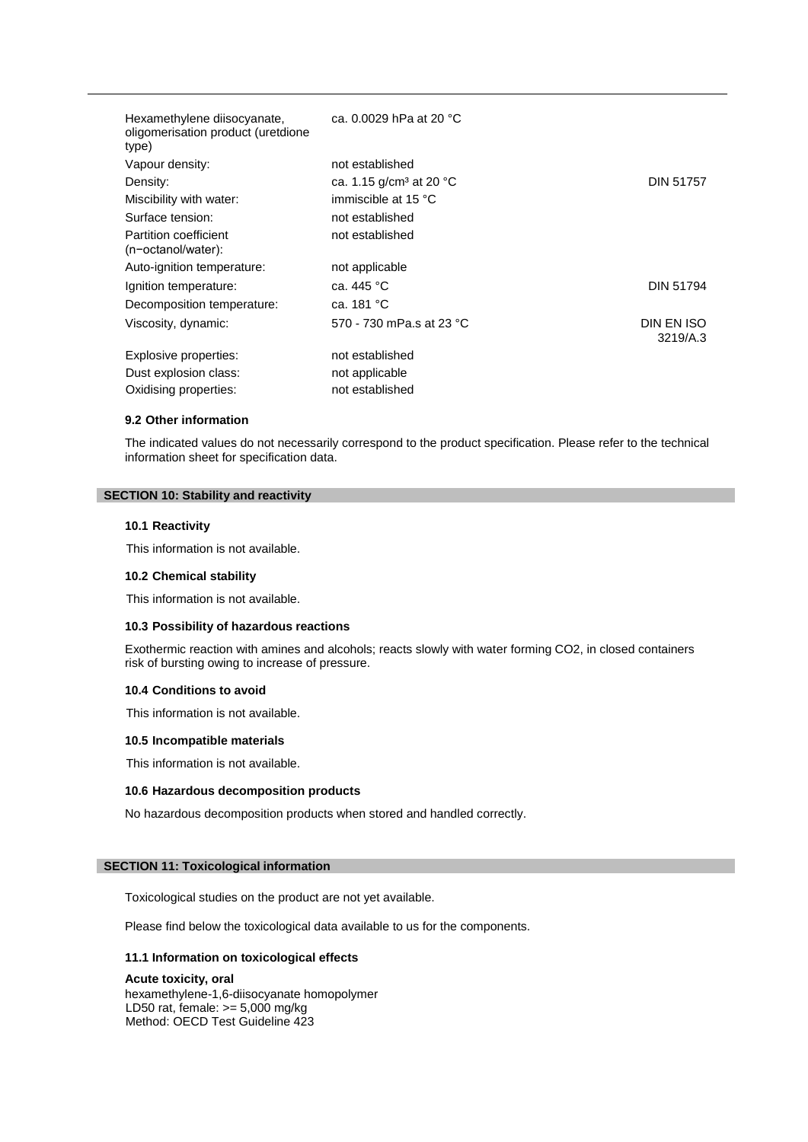| Hexamethylene diisocyanate,<br>oligomerisation product (uretdione<br>type) | ca. 0.0029 hPa at 20 °C             |                        |
|----------------------------------------------------------------------------|-------------------------------------|------------------------|
| Vapour density:                                                            | not established                     |                        |
| Density:                                                                   | ca. 1.15 g/cm <sup>3</sup> at 20 °C | <b>DIN 51757</b>       |
| Miscibility with water:                                                    | immiscible at 15 °C                 |                        |
| Surface tension:                                                           | not established                     |                        |
| Partition coefficient<br>(n-octanol/water):                                | not established                     |                        |
| Auto-ignition temperature:                                                 | not applicable                      |                        |
| Ignition temperature:                                                      | ca. 445 °C                          | <b>DIN 51794</b>       |
| Decomposition temperature:                                                 | ca. 181 °C                          |                        |
| Viscosity, dynamic:                                                        | 570 - 730 mPa.s at 23 °C            | DIN EN ISO<br>3219/A.3 |
| Explosive properties:                                                      | not established                     |                        |
| Dust explosion class:                                                      | not applicable                      |                        |
| Oxidising properties:                                                      | not established                     |                        |

## **9.2 Other information**

The indicated values do not necessarily correspond to the product specification. Please refer to the technical information sheet for specification data.

### **SECTION 10: Stability and reactivity**

## **10.1 Reactivity**

This information is not available.

#### **10.2 Chemical stability**

This information is not available.

#### **10.3 Possibility of hazardous reactions**

Exothermic reaction with amines and alcohols; reacts slowly with water forming CO2, in closed containers risk of bursting owing to increase of pressure.

## **10.4 Conditions to avoid**

This information is not available.

#### **10.5 Incompatible materials**

This information is not available.

## **10.6 Hazardous decomposition products**

No hazardous decomposition products when stored and handled correctly.

## **SECTION 11: Toxicological information**

Toxicological studies on the product are not yet available.

Please find below the toxicological data available to us for the components.

## **11.1 Information on toxicological effects**

## **Acute toxicity, oral**

hexamethylene-1,6-diisocyanate homopolymer LD50 rat, female: >= 5,000 mg/kg Method: OECD Test Guideline 423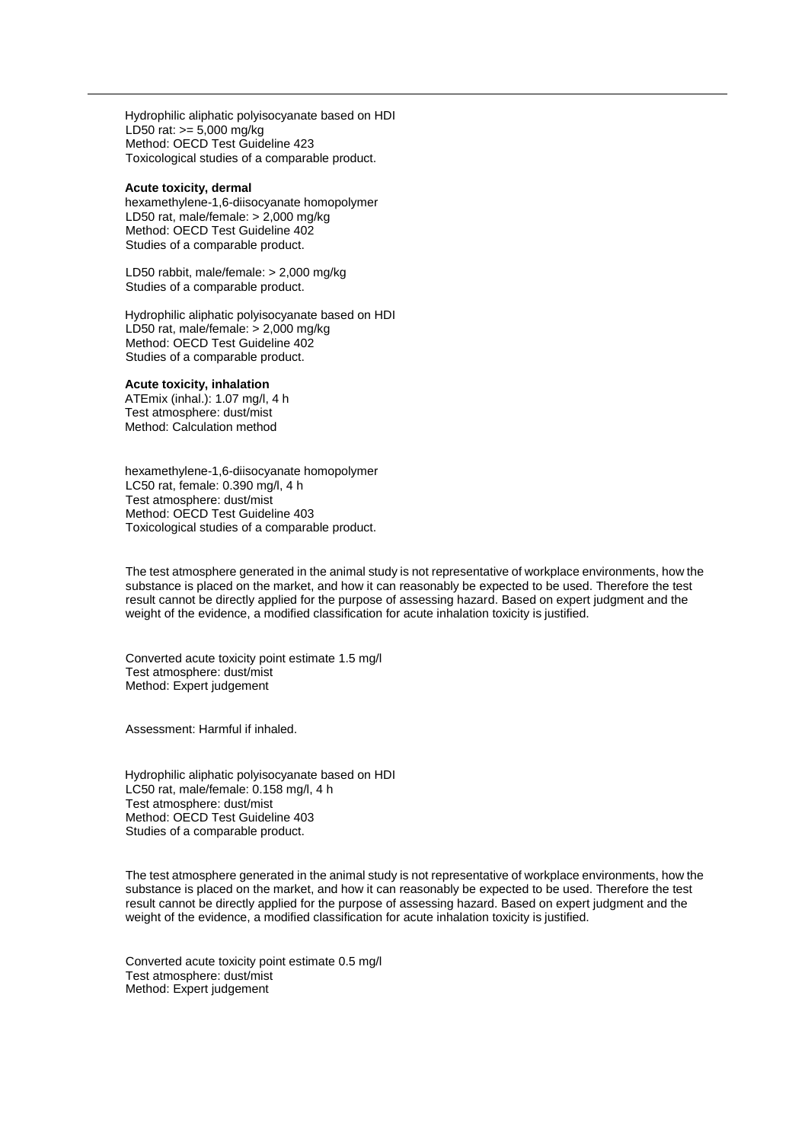Hydrophilic aliphatic polyisocyanate based on HDI LD50 rat: >= 5,000 mg/kg Method: OECD Test Guideline 423 Toxicological studies of a comparable product.

#### **Acute toxicity, dermal**

hexamethylene-1,6-diisocyanate homopolymer LD50 rat, male/female: > 2,000 mg/kg Method: OECD Test Guideline 402 Studies of a comparable product.

LD50 rabbit, male/female: > 2,000 mg/kg Studies of a comparable product.

Hydrophilic aliphatic polyisocyanate based on HDI LD50 rat, male/female: > 2,000 mg/kg Method: OECD Test Guideline 402 Studies of a comparable product.

#### **Acute toxicity, inhalation**

ATEmix (inhal.): 1.07 mg/l, 4 h Test atmosphere: dust/mist Method: Calculation method

hexamethylene-1,6-diisocyanate homopolymer LC50 rat, female: 0.390 mg/l, 4 h Test atmosphere: dust/mist Method: OECD Test Guideline 403 Toxicological studies of a comparable product.

The test atmosphere generated in the animal study is not representative of workplace environments, how the substance is placed on the market, and how it can reasonably be expected to be used. Therefore the test result cannot be directly applied for the purpose of assessing hazard. Based on expert judgment and the weight of the evidence, a modified classification for acute inhalation toxicity is justified.

Converted acute toxicity point estimate 1.5 mg/l Test atmosphere: dust/mist Method: Expert judgement

Assessment: Harmful if inhaled.

Hydrophilic aliphatic polyisocyanate based on HDI LC50 rat, male/female: 0.158 mg/l, 4 h Test atmosphere: dust/mist Method: OECD Test Guideline 403 Studies of a comparable product.

The test atmosphere generated in the animal study is not representative of workplace environments, how the substance is placed on the market, and how it can reasonably be expected to be used. Therefore the test result cannot be directly applied for the purpose of assessing hazard. Based on expert judgment and the weight of the evidence, a modified classification for acute inhalation toxicity is justified.

Converted acute toxicity point estimate 0.5 mg/l Test atmosphere: dust/mist Method: Expert judgement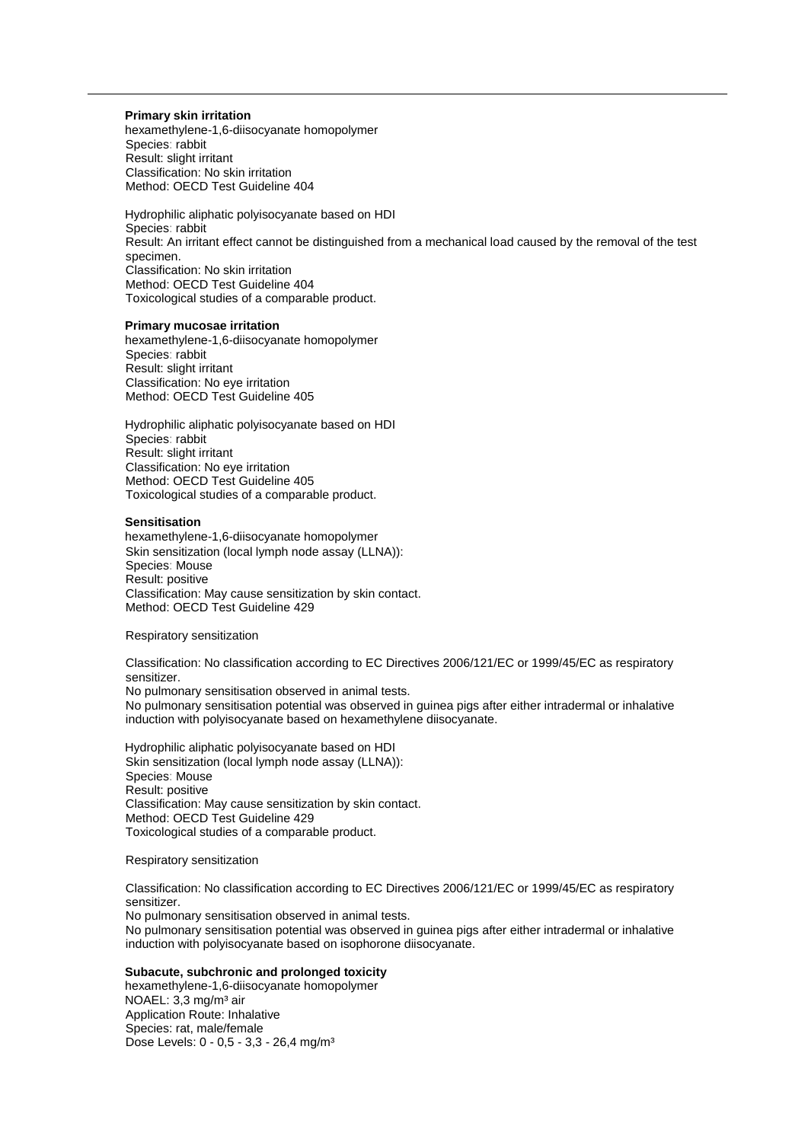#### **Primary skin irritation**

hexamethylene-1,6-diisocyanate homopolymer Species: rabbit Result: slight irritant Classification: No skin irritation Method: OECD Test Guideline 404

Hydrophilic aliphatic polyisocyanate based on HDI Species: rabbit Result: An irritant effect cannot be distinguished from a mechanical load caused by the removal of the test specimen. Classification: No skin irritation Method: OECD Test Guideline 404 Toxicological studies of a comparable product.

#### **Primary mucosae irritation**

hexamethylene-1,6-diisocyanate homopolymer Species: rabbit Result: slight irritant Classification: No eye irritation Method: OECD Test Guideline 405

Hydrophilic aliphatic polyisocyanate based on HDI Species: rabbit Result: slight irritant Classification: No eye irritation Method: OECD Test Guideline 405 Toxicological studies of a comparable product.

#### **Sensitisation**

hexamethylene-1,6-diisocyanate homopolymer Skin sensitization (local lymph node assay (LLNA)): Species: Mouse Result: positive Classification: May cause sensitization by skin contact. Method: OECD Test Guideline 429

Respiratory sensitization

Classification: No classification according to EC Directives 2006/121/EC or 1999/45/EC as respiratory sensitizer.

No pulmonary sensitisation observed in animal tests.

No pulmonary sensitisation potential was observed in guinea pigs after either intradermal or inhalative induction with polyisocyanate based on hexamethylene diisocyanate.

Hydrophilic aliphatic polyisocyanate based on HDI Skin sensitization (local lymph node assay (LLNA)): Species: Mouse Result: positive Classification: May cause sensitization by skin contact. Method: OECD Test Guideline 429 Toxicological studies of a comparable product.

Respiratory sensitization

Classification: No classification according to EC Directives 2006/121/EC or 1999/45/EC as respiratory sensitizer. No pulmonary sensitisation observed in animal tests. No pulmonary sensitisation potential was observed in guinea pigs after either intradermal or inhalative induction with polyisocyanate based on isophorone diisocyanate.

## **Subacute, subchronic and prolonged toxicity**

hexamethylene-1,6-diisocyanate homopolymer NOAEL: 3,3 mg/m<sup>3</sup> air Application Route: Inhalative Species: rat, male/female Dose Levels: 0 - 0,5 - 3,3 - 26,4 mg/m<sup>3</sup>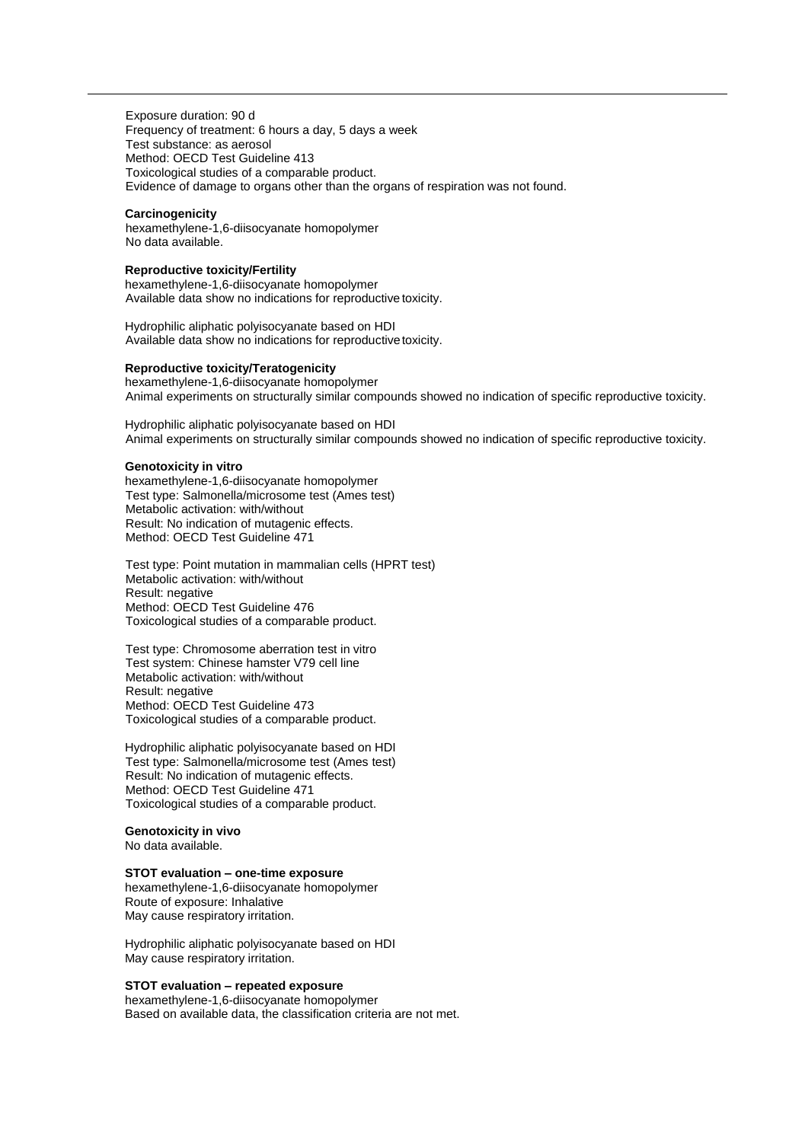Exposure duration: 90 d Frequency of treatment: 6 hours a day, 5 days a week Test substance: as aerosol Method: OECD Test Guideline 413 Toxicological studies of a comparable product. Evidence of damage to organs other than the organs of respiration was not found.

#### **Carcinogenicity**

hexamethylene-1,6-diisocyanate homopolymer No data available.

### **Reproductive toxicity/Fertility**

hexamethylene-1,6-diisocyanate homopolymer Available data show no indications for reproductive toxicity.

Hydrophilic aliphatic polyisocyanate based on HDI Available data show no indications for reproductive toxicity.

#### **Reproductive toxicity/Teratogenicity**

hexamethylene-1,6-diisocyanate homopolymer Animal experiments on structurally similar compounds showed no indication of specific reproductive toxicity.

Hydrophilic aliphatic polyisocyanate based on HDI Animal experiments on structurally similar compounds showed no indication of specific reproductive toxicity.

#### **Genotoxicity in vitro**

hexamethylene-1,6-diisocyanate homopolymer Test type: Salmonella/microsome test (Ames test) Metabolic activation: with/without Result: No indication of mutagenic effects. Method: OECD Test Guideline 471

Test type: Point mutation in mammalian cells (HPRT test) Metabolic activation: with/without Result: negative Method: OECD Test Guideline 476 Toxicological studies of a comparable product.

Test type: Chromosome aberration test in vitro Test system: Chinese hamster V79 cell line Metabolic activation: with/without Result: negative Method: OECD Test Guideline 473 Toxicological studies of a comparable product.

Hydrophilic aliphatic polyisocyanate based on HDI Test type: Salmonella/microsome test (Ames test) Result: No indication of mutagenic effects. Method: OECD Test Guideline 471 Toxicological studies of a comparable product.

## **Genotoxicity in vivo**

No data available.

## **STOT evaluation – one-time exposure**

hexamethylene-1,6-diisocyanate homopolymer Route of exposure: Inhalative May cause respiratory irritation.

Hydrophilic aliphatic polyisocyanate based on HDI May cause respiratory irritation.

#### **STOT evaluation – repeated exposure**

hexamethylene-1,6-diisocyanate homopolymer Based on available data, the classification criteria are not met.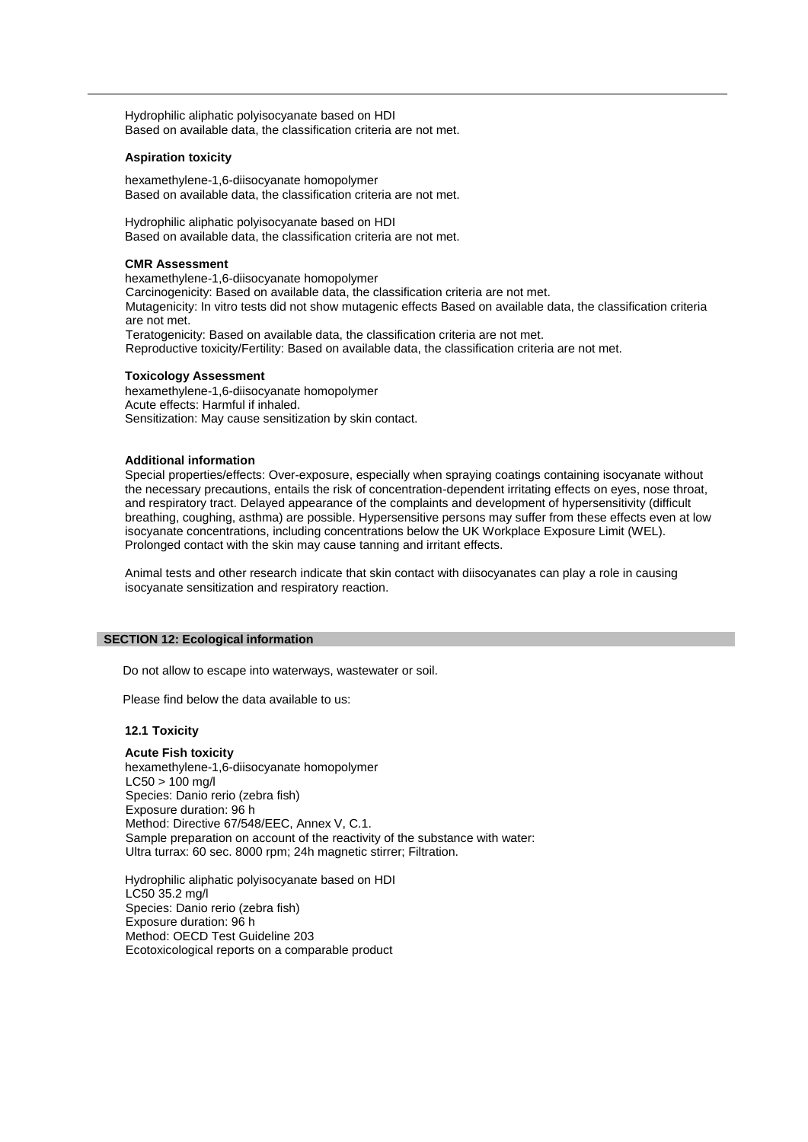Hydrophilic aliphatic polyisocyanate based on HDI Based on available data, the classification criteria are not met.

#### **Aspiration toxicity**

hexamethylene-1,6-diisocyanate homopolymer Based on available data, the classification criteria are not met.

Hydrophilic aliphatic polyisocyanate based on HDI Based on available data, the classification criteria are not met.

#### **CMR Assessment**

hexamethylene-1,6-diisocyanate homopolymer Carcinogenicity: Based on available data, the classification criteria are not met. Mutagenicity: In vitro tests did not show mutagenic effects Based on available data, the classification criteria are not met. Teratogenicity: Based on available data, the classification criteria are not met. Reproductive toxicity/Fertility: Based on available data, the classification criteria are not met.

#### **Toxicology Assessment**

hexamethylene-1,6-diisocyanate homopolymer Acute effects: Harmful if inhaled. Sensitization: May cause sensitization by skin contact.

#### **Additional information**

Special properties/effects: Over-exposure, especially when spraying coatings containing isocyanate without the necessary precautions, entails the risk of concentration-dependent irritating effects on eyes, nose throat, and respiratory tract. Delayed appearance of the complaints and development of hypersensitivity (difficult breathing, coughing, asthma) are possible. Hypersensitive persons may suffer from these effects even at low isocyanate concentrations, including concentrations below the UK Workplace Exposure Limit (WEL). Prolonged contact with the skin may cause tanning and irritant effects.

Animal tests and other research indicate that skin contact with diisocyanates can play a role in causing isocyanate sensitization and respiratory reaction.

#### **SECTION 12: Ecological information**

Do not allow to escape into waterways, wastewater or soil.

Please find below the data available to us:

#### **12.1 Toxicity**

#### **Acute Fish toxicity**

hexamethylene-1,6-diisocyanate homopolymer  $LC50 > 100$  mg/l Species: Danio rerio (zebra fish) Exposure duration: 96 h Method: Directive 67/548/EEC, Annex V, C.1. Sample preparation on account of the reactivity of the substance with water: Ultra turrax: 60 sec. 8000 rpm; 24h magnetic stirrer; Filtration.

Hydrophilic aliphatic polyisocyanate based on HDI LC50 35.2 mg/l Species: Danio rerio (zebra fish) Exposure duration: 96 h Method: OECD Test Guideline 203 Ecotoxicological reports on a comparable product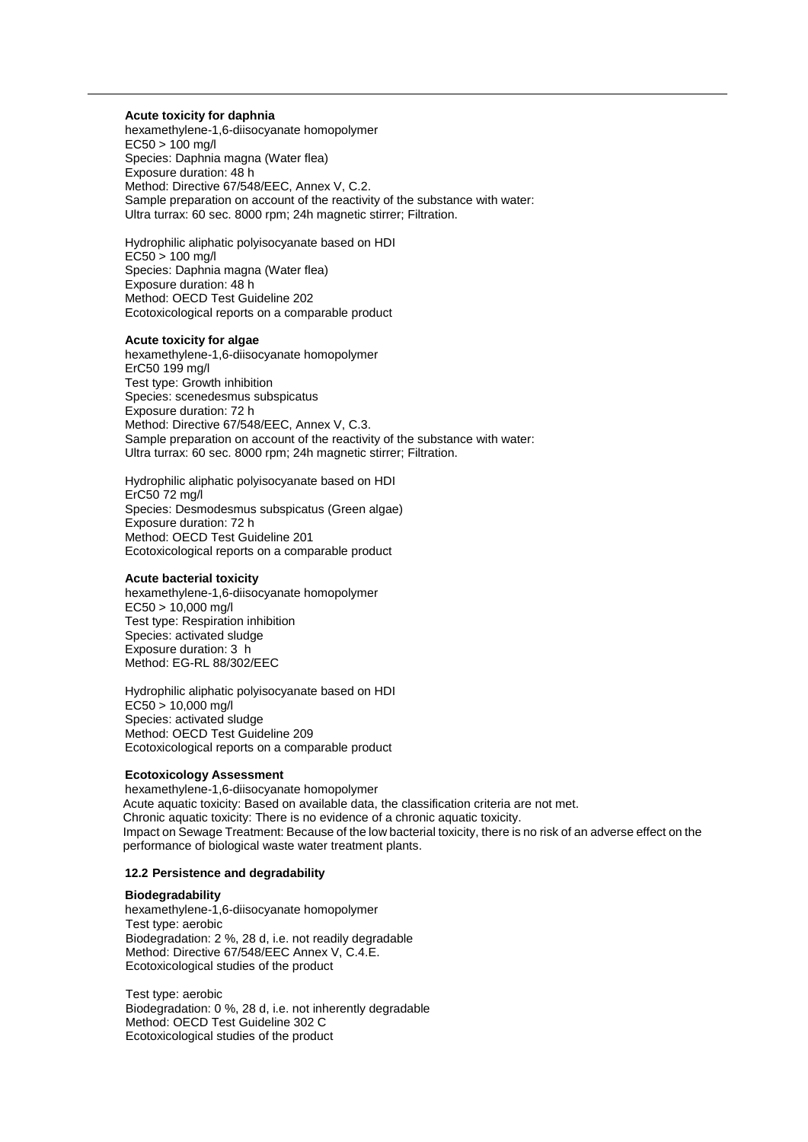#### **Acute toxicity for daphnia**

hexamethylene-1,6-diisocyanate homopolymer  $EC50 > 100$  mg/l Species: Daphnia magna (Water flea) Exposure duration: 48 h Method: Directive 67/548/EEC, Annex V, C.2. Sample preparation on account of the reactivity of the substance with water: Ultra turrax: 60 sec. 8000 rpm; 24h magnetic stirrer; Filtration.

Hydrophilic aliphatic polyisocyanate based on HDI  $EC50 > 100$  mg/l Species: Daphnia magna (Water flea) Exposure duration: 48 h Method: OECD Test Guideline 202 Ecotoxicological reports on a comparable product

#### **Acute toxicity for algae**

hexamethylene-1,6-diisocyanate homopolymer ErC50 199 mg/l Test type: Growth inhibition Species: scenedesmus subspicatus Exposure duration: 72 h Method: Directive 67/548/EEC, Annex V, C.3. Sample preparation on account of the reactivity of the substance with water: Ultra turrax: 60 sec. 8000 rpm; 24h magnetic stirrer; Filtration.

Hydrophilic aliphatic polyisocyanate based on HDI ErC50 72 mg/l Species: Desmodesmus subspicatus (Green algae) Exposure duration: 72 h Method: OECD Test Guideline 201 Ecotoxicological reports on a comparable product

#### **Acute bacterial toxicity**

hexamethylene-1,6-diisocyanate homopolymer EC50 > 10,000 mg/l Test type: Respiration inhibition Species: activated sludge Exposure duration: 3 h Method: EG-RL 88/302/EEC

Hydrophilic aliphatic polyisocyanate based on HDI EC50 > 10,000 mg/l Species: activated sludge Method: OECD Test Guideline 209 Ecotoxicological reports on a comparable product

#### **Ecotoxicology Assessment**

hexamethylene-1,6-diisocyanate homopolymer Acute aquatic toxicity: Based on available data, the classification criteria are not met. Chronic aquatic toxicity: There is no evidence of a chronic aquatic toxicity. Impact on Sewage Treatment: Because of the low bacterial toxicity, there is no risk of an adverse effect on the performance of biological waste water treatment plants.

#### **12.2 Persistence and degradability**

#### **Biodegradability**

hexamethylene-1,6-diisocyanate homopolymer Test type: aerobic Biodegradation: 2 %, 28 d, i.e. not readily degradable Method: Directive 67/548/EEC Annex V, C.4.E. Ecotoxicological studies of the product

Test type: aerobic Biodegradation: 0 %, 28 d, i.e. not inherently degradable Method: OECD Test Guideline 302 C Ecotoxicological studies of the product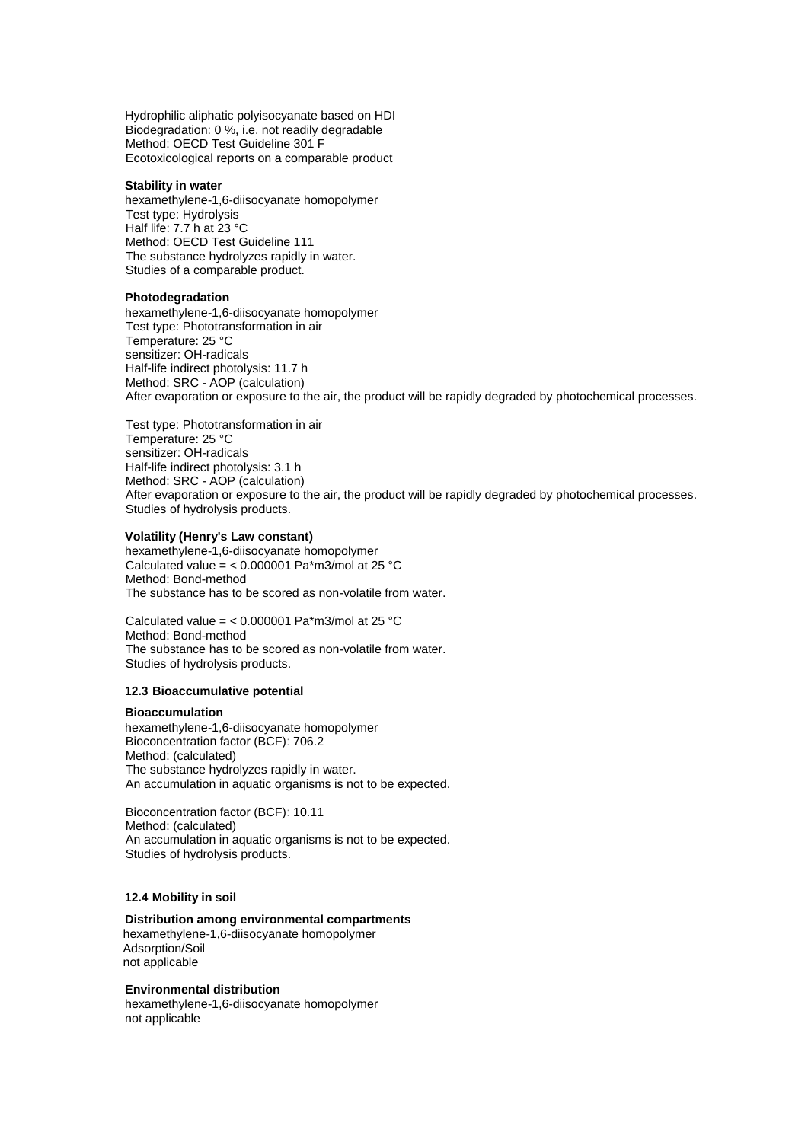Hydrophilic aliphatic polyisocyanate based on HDI Biodegradation: 0 %, i.e. not readily degradable Method: OECD Test Guideline 301 F Ecotoxicological reports on a comparable product

#### **Stability in water**

hexamethylene-1,6-diisocyanate homopolymer Test type: Hydrolysis Half life: 7.7 h at 23 °C Method: OECD Test Guideline 111 The substance hydrolyzes rapidly in water. Studies of a comparable product.

#### **Photodegradation**

hexamethylene-1,6-diisocyanate homopolymer Test type: Phototransformation in air Temperature: 25 °C sensitizer: OH-radicals Half-life indirect photolysis: 11.7 h Method: SRC - AOP (calculation) After evaporation or exposure to the air, the product will be rapidly degraded by photochemical processes.

Test type: Phototransformation in air Temperature: 25 °C sensitizer: OH-radicals Half-life indirect photolysis: 3.1 h Method: SRC - AOP (calculation) After evaporation or exposure to the air, the product will be rapidly degraded by photochemical processes. Studies of hydrolysis products.

#### **Volatility (Henry's Law constant)**

hexamethylene-1,6-diisocyanate homopolymer Calculated value =  $< 0.000001$  Pa\*m3/mol at 25 °C Method: Bond-method The substance has to be scored as non-volatile from water.

Calculated value =  $< 0.000001$  Pa\*m3/mol at 25 °C Method: Bond-method The substance has to be scored as non-volatile from water. Studies of hydrolysis products.

#### **12.3 Bioaccumulative potential**

#### **Bioaccumulation**

hexamethylene-1,6-diisocyanate homopolymer Bioconcentration factor (BCF): 706.2 Method: (calculated) The substance hydrolyzes rapidly in water. An accumulation in aquatic organisms is not to be expected.

Bioconcentration factor (BCF): 10.11 Method: (calculated) An accumulation in aquatic organisms is not to be expected. Studies of hydrolysis products.

## **12.4 Mobility in soil**

#### **Distribution among environmental compartments**

hexamethylene-1,6-diisocyanate homopolymer Adsorption/Soil not applicable

## **Environmental distribution**

hexamethylene-1,6-diisocyanate homopolymer not applicable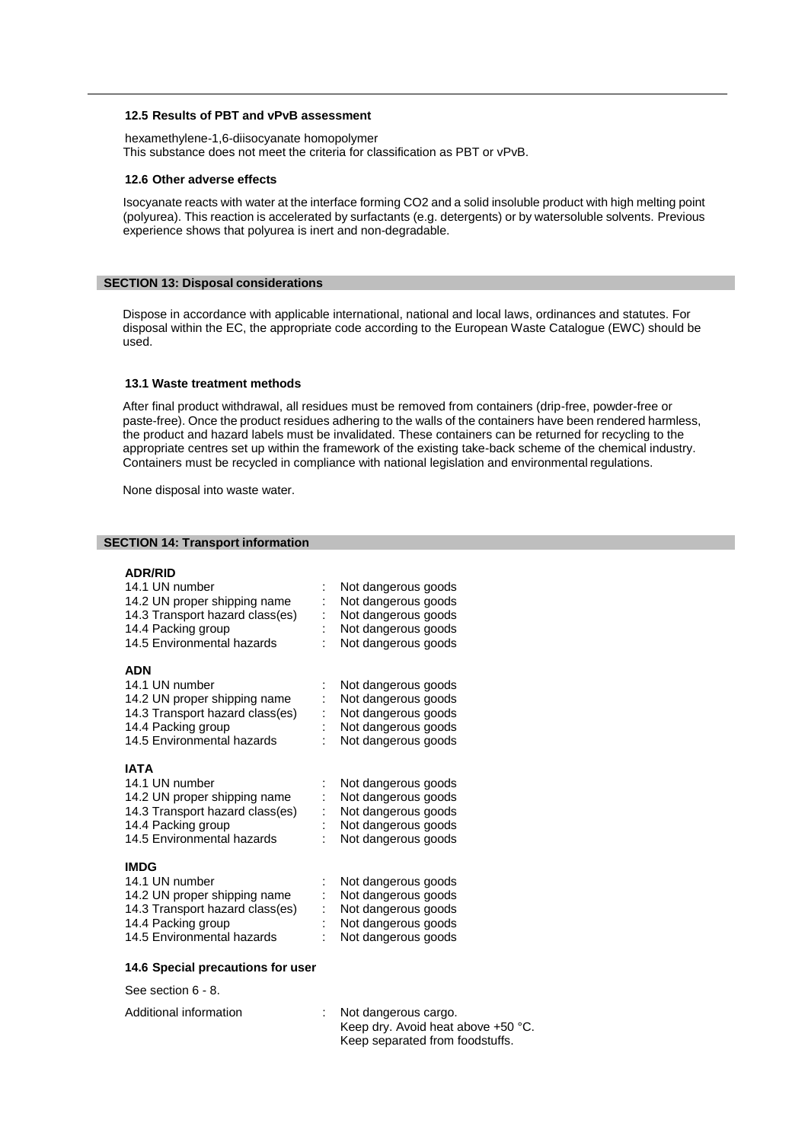## **12.5 Results of PBT and vPvB assessment**

hexamethylene-1,6-diisocyanate homopolymer This substance does not meet the criteria for classification as PBT or vPvB.

#### **12.6 Other adverse effects**

Isocyanate reacts with water at the interface forming CO2 and a solid insoluble product with high melting point (polyurea). This reaction is accelerated by surfactants (e.g. detergents) or by watersoluble solvents. Previous experience shows that polyurea is inert and non-degradable.

### **SECTION 13: Disposal considerations**

Dispose in accordance with applicable international, national and local laws, ordinances and statutes. For disposal within the EC, the appropriate code according to the European Waste Catalogue (EWC) should be used.

#### **13.1 Waste treatment methods**

After final product withdrawal, all residues must be removed from containers (drip-free, powder-free or paste-free). Once the product residues adhering to the walls of the containers have been rendered harmless, the product and hazard labels must be invalidated. These containers can be returned for recycling to the appropriate centres set up within the framework of the existing take-back scheme of the chemical industry. Containers must be recycled in compliance with national legislation and environmental regulations.

None disposal into waste water.

### **SECTION 14: Transport information**

## **ADR/RID**

| 14.1 UN number<br>14.2 UN proper shipping name<br>14.3 Transport hazard class(es)<br>14.4 Packing group<br>14.5 Environmental hazards                | Not dangerous goods<br>Not dangerous goods<br>Not dangerous goods<br>Not dangerous goods<br>Not dangerous goods |
|------------------------------------------------------------------------------------------------------------------------------------------------------|-----------------------------------------------------------------------------------------------------------------|
| ADN<br>14.1 UN number<br>14.2 UN proper shipping name<br>14.3 Transport hazard class(es)<br>14.4 Packing group<br>14.5 Environmental hazards         | Not dangerous goods<br>Not dangerous goods<br>Not dangerous goods<br>Not dangerous goods<br>Not dangerous goods |
| <b>IATA</b><br>14.1 UN number<br>14.2 UN proper shipping name<br>14.3 Transport hazard class(es)<br>14.4 Packing group<br>14.5 Environmental hazards | Not dangerous goods<br>Not dangerous goods<br>Not dangerous goods<br>Not dangerous goods<br>Not dangerous goods |
| <b>IMDG</b><br>14.1 UN number<br>14.2 UN proper shipping name<br>14.3 Transport hazard class(es)<br>14.4 Packing group<br>14.5 Environmental hazards | Not dangerous goods<br>Not dangerous goods<br>Not dangerous goods<br>Not dangerous goods<br>Not dangerous goods |
| 14.6 Special precautions for user                                                                                                                    |                                                                                                                 |

See section 6 - 8.

| Additional information | Not dangerous cargo.               |
|------------------------|------------------------------------|
|                        | Keep dry. Avoid heat above +50 °C. |
|                        | Keep separated from foodstuffs.    |